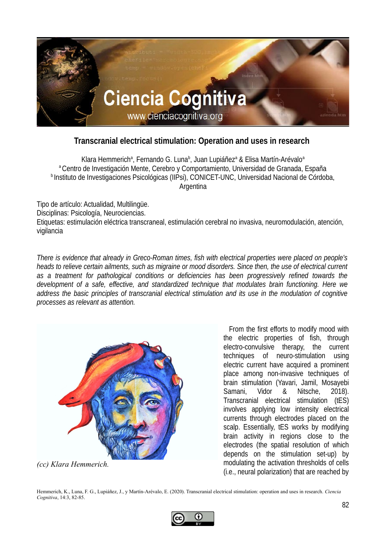

## **Transcranial electrical stimulation: Operation and uses in research**

Klara Hemmerich<sup>a</sup>, Fernando G. Luna<sup>b</sup>, Juan Lupiáñez<sup>a</sup> & Elisa Martín-Arévalo<sup>a</sup> <sup>a</sup> Centro de Investigación Mente, Cerebro y Comportamiento, Universidad de Granada, España <sup>b</sup> Instituto de Investigaciones Psicológicas (IIPsi), CONICET-UNC, Universidad Nacional de Córdoba, Argentina

Tipo de artículo: Actualidad, Multilingüe. Disciplinas: Psicología, Neurociencias. Etiquetas: estimulación eléctrica transcraneal, estimulación cerebral no invasiva, neuromodulación, atención, vigilancia

*There is evidence that already in Greco-Roman times, fish with electrical properties were placed on people's heads to relieve certain ailments, such as migraine or mood disorders. Since then, the use of electrical current as a treatment for pathological conditions or deficiencies has been progressively refined towards the development of a safe, effective, and standardized technique that modulates brain functioning. Here we address the basic principles of transcranial electrical stimulation and its use in the modulation of cognitive processes as relevant as attention.*



*(cc) Klara Hemmerich.*

From the first efforts to modify mood with the electric properties of fish, through electro-convulsive therapy, the current techniques of neuro-stimulation using electric current have acquired a prominent place among non-invasive techniques of brain stimulation (Yavari, Jamil, Mosayebi Samani, Vidor & Nitsche, 2018). Transcranial electrical stimulation (tES) involves applying low intensity electrical currents through electrodes placed on the scalp. Essentially, tES works by modifying brain activity in regions close to the electrodes (the spatial resolution of which depends on the stimulation set-up) by modulating the activation thresholds of cells (i.e., neural polarization) that are reached by

Hemmerich, K., Luna, F. G., Lupiáñez, J., y Martín-Arévalo, E. (2020). Transcranial electrical stimulation: operation and uses in research. *Ciencia Cognitiva*, 14:3, 82-85.

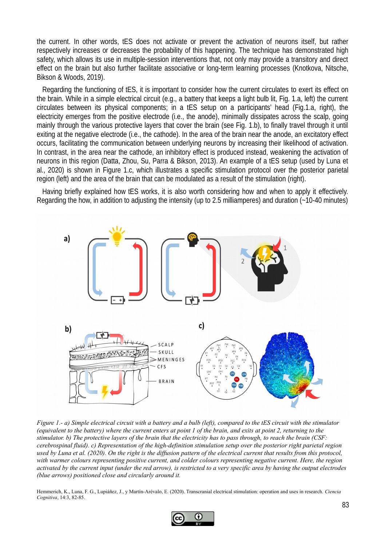the current. In other words, tES does not activate or prevent the activation of neurons itself, but rather respectively increases or decreases the probability of this happening. The technique has demonstrated high safety, which allows its use in multiple-session interventions that, not only may provide a transitory and direct effect on the brain but also further facilitate associative or long-term learning processes (Knotkova, Nitsche, Bikson & Woods, 2019).

Regarding the functioning of tES, it is important to consider how the current circulates to exert its effect on the brain. While in a simple electrical circuit (e.g., a battery that keeps a light bulb lit, Fig. 1.a, left) the current circulates between its physical components; in a tES setup on a participants' head (Fig.1.a, right), the electricity emerges from the positive electrode (i.e., the anode), minimally dissipates across the scalp, going mainly through the various protective layers that cover the brain (see Fig. 1.b), to finally travel through it until exiting at the negative electrode (i.e., the cathode). In the area of the brain near the anode, an excitatory effect occurs, facilitating the communication between underlying neurons by increasing their likelihood of activation. In contrast, in the area near the cathode, an inhibitory effect is produced instead, weakening the activation of neurons in this region (Datta, Zhou, Su, Parra & Bikson, 2013). An example of a tES setup (used by Luna et al., 2020) is shown in Figure 1.c, which illustrates a specific stimulation protocol over the posterior parietal region (left) and the area of the brain that can be modulated as a result of the stimulation (right).

Having briefly explained how tES works, it is also worth considering how and when to apply it effectively. Regarding the how, in addition to adjusting the intensity (up to 2.5 milliamperes) and duration (~10-40 minutes)



*Figure 1.- a) Simple electrical circuit with a battery and a bulb (left), compared to the tES circuit with the stimulator (equivalent to the battery) where the current enters at point 1 of the brain, and exits at point 2, returning to the stimulator. b) The protective layers of the brain that the electricity has to pass through, to reach the brain (CSF: cerebrospinal fluid). c) Representation of the high-definition stimulation setup over the posterior right parietal region used by Luna et al. (2020). On the right is the diffusion pattern of the electrical current that results from this protocol, with warmer colours representing positive current, and colder colours representing negative current. Here, the region activated by the current input (under the red arrow), is restricted to a very specific area by having the output electrodes (blue arrows) positioned close and circularly around it.*

Hemmerich, K., Luna, F. G., Lupiáñez, J., y Martín-Arévalo, E. (2020). Transcranial electrical stimulation: operation and uses in research. *Ciencia Cognitiva*, 14:3, 82-85.

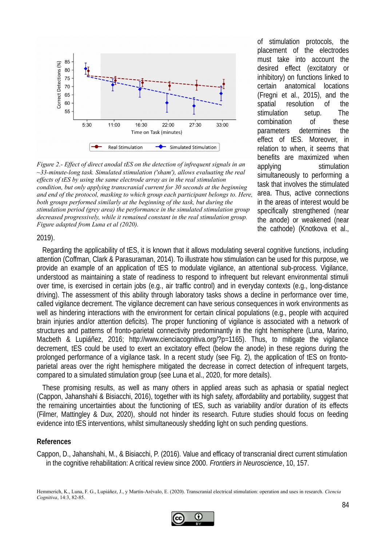

*Figure 2.- Effect of direct anodal tES on the detection of infrequent signals in an ~33-minute-long task. Simulated stimulation ('sham'), allows evaluating the real effects of tES by using the same electrode array as in the real stimulation condition, but only applying transcranial current for 30 seconds at the beginning and end of the protocol, masking to which group each participant belongs to. Here, both groups performed similarly at the beginning of the task, but during the stimulation period (grey area) the performance in the simulated stimulation group decreased progressively, while it remained constant in the real stimulation group. Figure adapted from Luna et al (2020).*

of stimulation protocols, the placement of the electrodes must take into account the desired effect (excitatory or inhibitory) on functions linked to certain anatomical locations (Fregni et al., 2015), and the spatial resolution of the stimulation setup. The combination of these parameters determines the effect of tES. Moreover, in relation to when, it seems that benefits are maximized when applying stimulation simultaneously to performing a task that involves the stimulated area. Thus, active connections in the areas of interest would be specifically strengthened (near the anode) or weakened (near the cathode) (Knotkova et al.,

## 2019).

Regarding the applicability of tES, it is known that it allows modulating several cognitive functions, including attention (Coffman, Clark & Parasuraman, 2014). To illustrate how stimulation can be used for this purpose, we provide an example of an application of tES to modulate vigilance, an attentional sub-process. Vigilance, understood as maintaining a state of readiness to respond to infrequent but relevant environmental stimuli over time, is exercised in certain jobs (e.g., air traffic control) and in everyday contexts (e.g., long-distance driving). The assessment of this ability through laboratory tasks shows a decline in performance over time, called vigilance decrement. The vigilance decrement can have serious consequences in work environments as well as hindering interactions with the environment for certain clinical populations (e.g., people with acquired brain injuries and/or attention deficits). The proper functioning of vigilance is associated with a network of structures and patterns of fronto-parietal connectivity predominantly in the right hemisphere (Luna, Marino, Macbeth & Lupiáñez, 2016; http://www.cienciacognitiva.org/?p=1165). Thus, to mitigate the vigilance decrement, tES could be used to exert an excitatory effect (below the anode) in these regions during the prolonged performance of a vigilance task. In a recent study (see Fig. 2), the application of tES on frontoparietal areas over the right hemisphere mitigated the decrease in correct detection of infrequent targets, compared to a simulated stimulation group (see Luna et al., 2020, for more details).

These promising results, as well as many others in applied areas such as aphasia or spatial neglect (Cappon, Jahanshahi & Bisiacchi, 2016), together with its high safety, affordability and portability, suggest that the remaining uncertainties about the functioning of tES, such as variability and/or duration of its effects (Filmer, Mattingley & Dux, 2020), should not hinder its research. Future studies should focus on feeding evidence into tES interventions, whilst simultaneously shedding light on such pending questions.

## **References**

Cappon, D., Jahanshahi, M., & Bisiacchi, P. (2016). Value and efficacy of transcranial direct current stimulation in the cognitive rehabilitation: A critical review since 2000. *Frontiers in Neuroscience*, 10, 157.

Hemmerich, K., Luna, F. G., Lupiáñez, J., y Martín-Arévalo, E. (2020). Transcranial electrical stimulation: operation and uses in research. *Ciencia Cognitiva*, 14:3, 82-85.